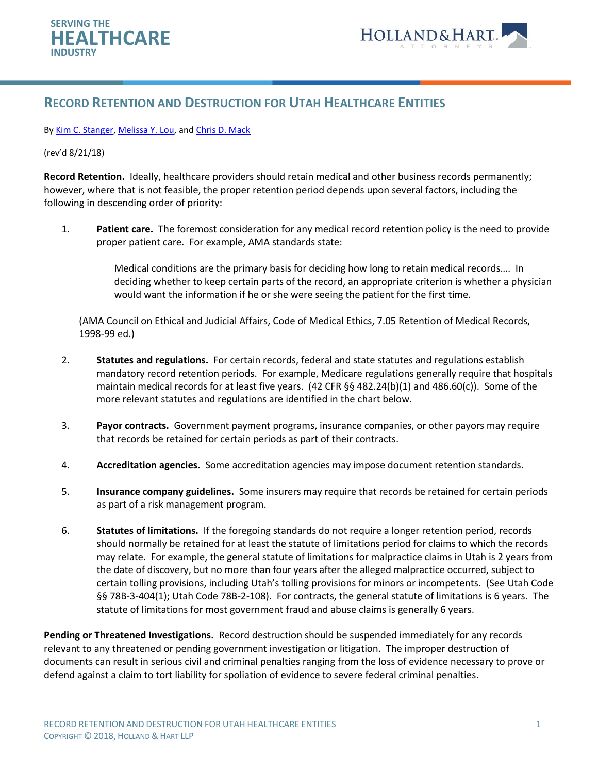

## **RECORD RETENTION AND DESTRUCTION FOR UTAH HEALTHCARE ENTITIES**

## By [Kim C. Stanger,](https://www.hollandhart.com/kcstanger) [Melissa Y. Lou,](https://www.hollandhart.com/mlou) an[d Chris D. Mack](https://www.hollandhart.com/cmack)

## (rev'd 8/21/18)

**Record Retention.** Ideally, healthcare providers should retain medical and other business records permanently; however, where that is not feasible, the proper retention period depends upon several factors, including the following in descending order of priority:

1. **Patient care.** The foremost consideration for any medical record retention policy is the need to provide proper patient care. For example, AMA standards state:

> Medical conditions are the primary basis for deciding how long to retain medical records…. In deciding whether to keep certain parts of the record, an appropriate criterion is whether a physician would want the information if he or she were seeing the patient for the first time.

(AMA Council on Ethical and Judicial Affairs, Code of Medical Ethics, 7.05 Retention of Medical Records, 1998-99 ed.)

- 2. **Statutes and regulations.** For certain records, federal and state statutes and regulations establish mandatory record retention periods. For example, Medicare regulations generally require that hospitals maintain medical records for at least five years. (42 CFR §§ 482.24(b)(1) and 486.60(c)). Some of the more relevant statutes and regulations are identified in the chart below.
- 3. **Payor contracts.** Government payment programs, insurance companies, or other payors may require that records be retained for certain periods as part of their contracts.
- 4. **Accreditation agencies.** Some accreditation agencies may impose document retention standards.
- 5. **Insurance company guidelines.** Some insurers may require that records be retained for certain periods as part of a risk management program.
- 6. **Statutes of limitations.** If the foregoing standards do not require a longer retention period, records should normally be retained for at least the statute of limitations period for claims to which the records may relate. For example, the general statute of limitations for malpractice claims in Utah is 2 years from the date of discovery, but no more than four years after the alleged malpractice occurred, subject to certain tolling provisions, including Utah's tolling provisions for minors or incompetents. (See Utah Code §§ 78B-3-404(1); Utah Code 78B-2-108). For contracts, the general statute of limitations is 6 years. The statute of limitations for most government fraud and abuse claims is generally 6 years.

**Pending or Threatened Investigations.** Record destruction should be suspended immediately for any records relevant to any threatened or pending government investigation or litigation. The improper destruction of documents can result in serious civil and criminal penalties ranging from the loss of evidence necessary to prove or defend against a claim to tort liability for spoliation of evidence to severe federal criminal penalties.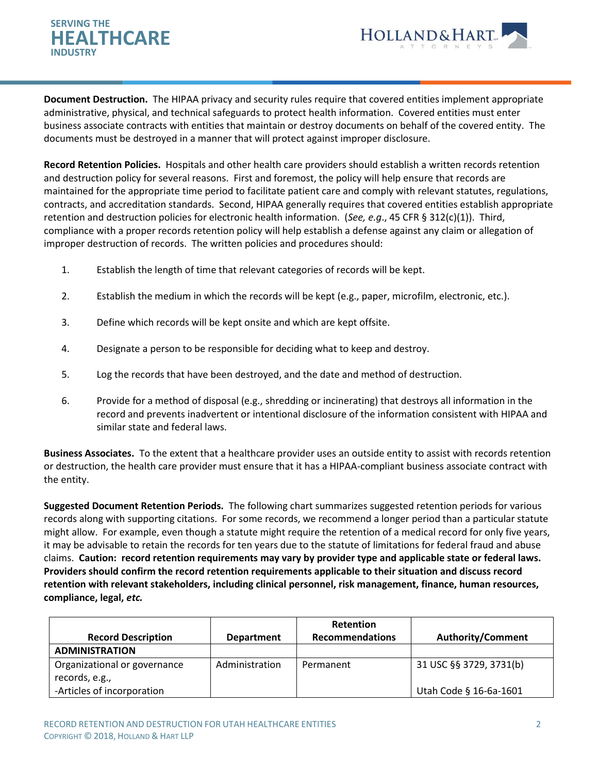## **HEALTHCARE SERVING THE INDUSTRY**



**Document Destruction.** The HIPAA privacy and security rules require that covered entities implement appropriate administrative, physical, and technical safeguards to protect health information. Covered entities must enter business associate contracts with entities that maintain or destroy documents on behalf of the covered entity. The documents must be destroyed in a manner that will protect against improper disclosure.

**Record Retention Policies.** Hospitals and other health care providers should establish a written records retention and destruction policy for several reasons. First and foremost, the policy will help ensure that records are maintained for the appropriate time period to facilitate patient care and comply with relevant statutes, regulations, contracts, and accreditation standards. Second, HIPAA generally requires that covered entities establish appropriate retention and destruction policies for electronic health information. (*See, e.g*., 45 CFR § 312(c)(1)). Third, compliance with a proper records retention policy will help establish a defense against any claim or allegation of improper destruction of records. The written policies and procedures should:

- 1. Establish the length of time that relevant categories of records will be kept.
- 2. Establish the medium in which the records will be kept (e.g., paper, microfilm, electronic, etc.).
- 3. Define which records will be kept onsite and which are kept offsite.
- 4. Designate a person to be responsible for deciding what to keep and destroy.
- 5. Log the records that have been destroyed, and the date and method of destruction.
- 6. Provide for a method of disposal (e.g., shredding or incinerating) that destroys all information in the record and prevents inadvertent or intentional disclosure of the information consistent with HIPAA and similar state and federal laws.

**Business Associates.** To the extent that a healthcare provider uses an outside entity to assist with records retention or destruction, the health care provider must ensure that it has a HIPAA-compliant business associate contract with the entity.

**Suggested Document Retention Periods.** The following chart summarizes suggested retention periods for various records along with supporting citations. For some records, we recommend a longer period than a particular statute might allow. For example, even though a statute might require the retention of a medical record for only five years, it may be advisable to retain the records for ten years due to the statute of limitations for federal fraud and abuse claims. **Caution: record retention requirements may vary by provider type and applicable state or federal laws. Providers should confirm the record retention requirements applicable to their situation and discuss record retention with relevant stakeholders, including clinical personnel, risk management, finance, human resources, compliance, legal,** *etc.*

|                              |                   | <b>Retention</b>       |                          |
|------------------------------|-------------------|------------------------|--------------------------|
| <b>Record Description</b>    | <b>Department</b> | <b>Recommendations</b> | <b>Authority/Comment</b> |
| <b>ADMINISTRATION</b>        |                   |                        |                          |
| Organizational or governance | Administration    | Permanent              | 31 USC §§ 3729, 3731(b)  |
| records, e.g.,               |                   |                        |                          |
| -Articles of incorporation   |                   |                        | Utah Code § 16-6a-1601   |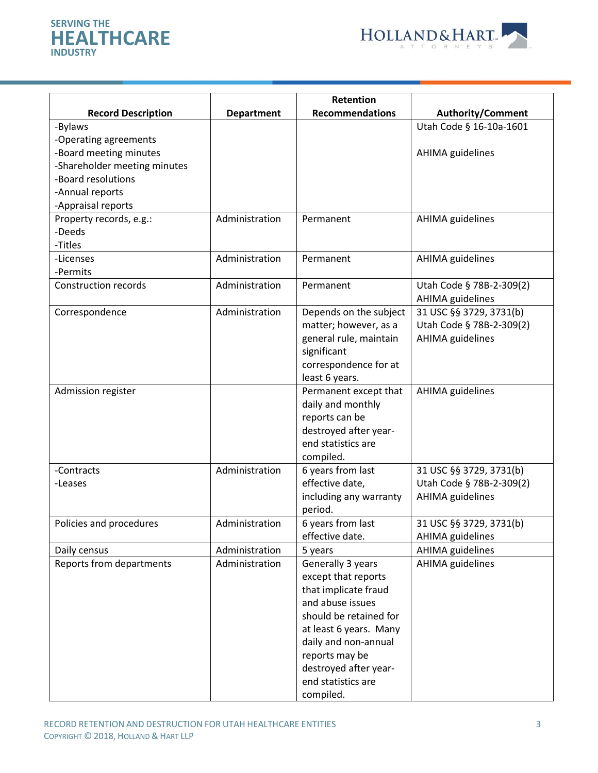



|                              |                   | Retention                                   |                          |
|------------------------------|-------------------|---------------------------------------------|--------------------------|
| <b>Record Description</b>    | <b>Department</b> | <b>Recommendations</b>                      | <b>Authority/Comment</b> |
| -Bylaws                      |                   |                                             | Utah Code § 16-10a-1601  |
| -Operating agreements        |                   |                                             |                          |
| -Board meeting minutes       |                   |                                             | AHIMA guidelines         |
| -Shareholder meeting minutes |                   |                                             |                          |
| -Board resolutions           |                   |                                             |                          |
| -Annual reports              |                   |                                             |                          |
| -Appraisal reports           |                   |                                             |                          |
| Property records, e.g.:      | Administration    | Permanent                                   | AHIMA guidelines         |
| -Deeds                       |                   |                                             |                          |
| -Titles                      |                   |                                             |                          |
| -Licenses                    | Administration    | Permanent                                   | AHIMA guidelines         |
| -Permits                     |                   |                                             |                          |
| <b>Construction records</b>  | Administration    | Permanent                                   | Utah Code § 78B-2-309(2) |
|                              |                   |                                             | AHIMA guidelines         |
| Correspondence               | Administration    | Depends on the subject                      | 31 USC §§ 3729, 3731(b)  |
|                              |                   | matter; however, as a                       | Utah Code § 78B-2-309(2) |
|                              |                   | general rule, maintain                      | <b>AHIMA</b> guidelines  |
|                              |                   | significant                                 |                          |
|                              |                   | correspondence for at                       |                          |
|                              |                   | least 6 years.                              |                          |
| Admission register           |                   | Permanent except that                       | <b>AHIMA</b> guidelines  |
|                              |                   | daily and monthly                           |                          |
|                              |                   | reports can be                              |                          |
|                              |                   | destroyed after year-<br>end statistics are |                          |
|                              |                   | compiled.                                   |                          |
| -Contracts                   | Administration    | 6 years from last                           | 31 USC §§ 3729, 3731(b)  |
| -Leases                      |                   | effective date,                             | Utah Code § 78B-2-309(2) |
|                              |                   | including any warranty                      | <b>AHIMA</b> guidelines  |
|                              |                   | period.                                     |                          |
| Policies and procedures      | Administration    | 6 years from last                           | 31 USC §§ 3729, 3731(b)  |
|                              |                   | effective date.                             | AHIMA guidelines         |
| Daily census                 | Administration    | 5 years                                     | AHIMA guidelines         |
| Reports from departments     | Administration    | Generally 3 years                           | AHIMA guidelines         |
|                              |                   | except that reports                         |                          |
|                              |                   | that implicate fraud                        |                          |
|                              |                   | and abuse issues                            |                          |
|                              |                   | should be retained for                      |                          |
|                              |                   | at least 6 years. Many                      |                          |
|                              |                   | daily and non-annual                        |                          |
|                              |                   | reports may be                              |                          |
|                              |                   | destroyed after year-                       |                          |
|                              |                   | end statistics are                          |                          |
|                              |                   | compiled.                                   |                          |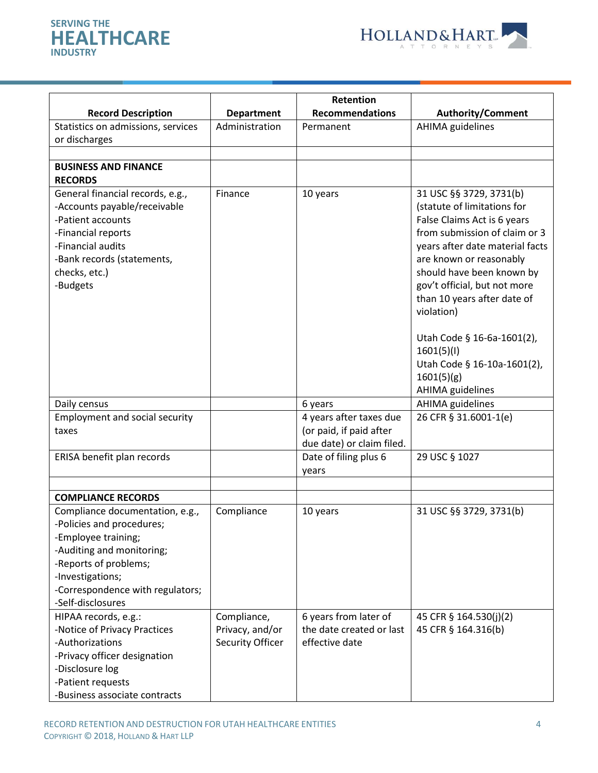



|                                                                                                                                                                                                                        |                                     | Retention                                                                       |                                                                                                                                                                                                                                                                                                                                                                                                                    |
|------------------------------------------------------------------------------------------------------------------------------------------------------------------------------------------------------------------------|-------------------------------------|---------------------------------------------------------------------------------|--------------------------------------------------------------------------------------------------------------------------------------------------------------------------------------------------------------------------------------------------------------------------------------------------------------------------------------------------------------------------------------------------------------------|
| <b>Record Description</b>                                                                                                                                                                                              | <b>Department</b>                   | <b>Recommendations</b>                                                          | <b>Authority/Comment</b>                                                                                                                                                                                                                                                                                                                                                                                           |
| Statistics on admissions, services                                                                                                                                                                                     | Administration                      | Permanent                                                                       | <b>AHIMA</b> guidelines                                                                                                                                                                                                                                                                                                                                                                                            |
| or discharges                                                                                                                                                                                                          |                                     |                                                                                 |                                                                                                                                                                                                                                                                                                                                                                                                                    |
| <b>BUSINESS AND FINANCE</b>                                                                                                                                                                                            |                                     |                                                                                 |                                                                                                                                                                                                                                                                                                                                                                                                                    |
| <b>RECORDS</b>                                                                                                                                                                                                         |                                     |                                                                                 |                                                                                                                                                                                                                                                                                                                                                                                                                    |
| General financial records, e.g.,<br>-Accounts payable/receivable<br>-Patient accounts<br>-Financial reports<br>-Financial audits<br>-Bank records (statements,<br>checks, etc.)<br>-Budgets                            | Finance                             | 10 years                                                                        | 31 USC §§ 3729, 3731(b)<br>(statute of limitations for<br>False Claims Act is 6 years<br>from submission of claim or 3<br>years after date material facts<br>are known or reasonably<br>should have been known by<br>gov't official, but not more<br>than 10 years after date of<br>violation)<br>Utah Code § 16-6a-1601(2),<br>1601(5)(1)<br>Utah Code § 16-10a-1601(2),<br>1601(5)(g)<br><b>AHIMA</b> guidelines |
| Daily census                                                                                                                                                                                                           |                                     | 6 years                                                                         | AHIMA guidelines                                                                                                                                                                                                                                                                                                                                                                                                   |
| Employment and social security<br>taxes                                                                                                                                                                                |                                     | 4 years after taxes due<br>(or paid, if paid after<br>due date) or claim filed. | 26 CFR § 31.6001-1(e)                                                                                                                                                                                                                                                                                                                                                                                              |
| ERISA benefit plan records                                                                                                                                                                                             |                                     | Date of filing plus 6<br>years                                                  | 29 USC § 1027                                                                                                                                                                                                                                                                                                                                                                                                      |
|                                                                                                                                                                                                                        |                                     |                                                                                 |                                                                                                                                                                                                                                                                                                                                                                                                                    |
| <b>COMPLIANCE RECORDS</b>                                                                                                                                                                                              |                                     |                                                                                 |                                                                                                                                                                                                                                                                                                                                                                                                                    |
| Compliance documentation, e.g.,<br>-Policies and procedures;<br>-Employee training;<br>-Auditing and monitoring;<br>-Reports of problems;<br>-Investigations;<br>-Correspondence with regulators;<br>-Self-disclosures | Compliance                          | 10 years                                                                        | 31 USC §§ 3729, 3731(b)                                                                                                                                                                                                                                                                                                                                                                                            |
| HIPAA records, e.g.:                                                                                                                                                                                                   | Compliance,                         | 6 years from later of                                                           | 45 CFR § 164.530(j)(2)                                                                                                                                                                                                                                                                                                                                                                                             |
| -Notice of Privacy Practices<br>-Authorizations<br>-Privacy officer designation<br>-Disclosure log<br>-Patient requests<br>-Business associate contracts                                                               | Privacy, and/or<br>Security Officer | the date created or last<br>effective date                                      | 45 CFR § 164.316(b)                                                                                                                                                                                                                                                                                                                                                                                                |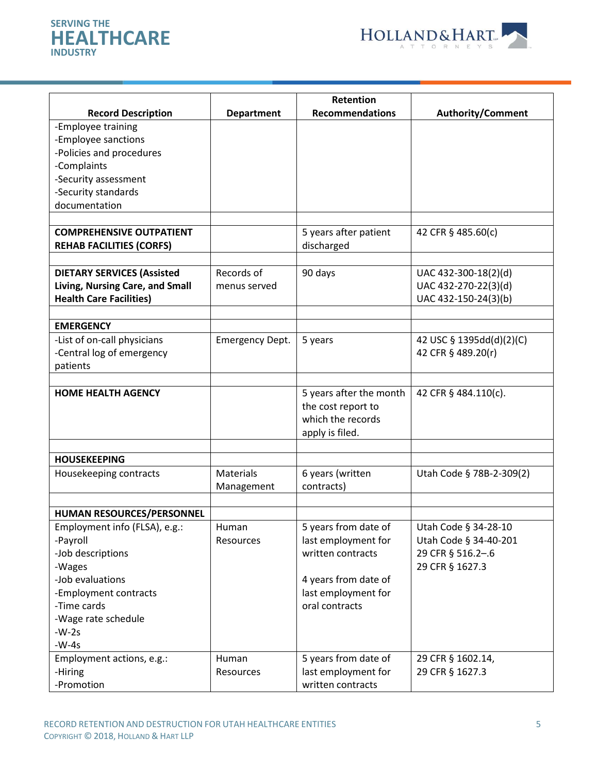



|                                   |                        | Retention               |                          |
|-----------------------------------|------------------------|-------------------------|--------------------------|
| <b>Record Description</b>         | <b>Department</b>      | <b>Recommendations</b>  | <b>Authority/Comment</b> |
| -Employee training                |                        |                         |                          |
| -Employee sanctions               |                        |                         |                          |
| -Policies and procedures          |                        |                         |                          |
| -Complaints                       |                        |                         |                          |
| -Security assessment              |                        |                         |                          |
| -Security standards               |                        |                         |                          |
| documentation                     |                        |                         |                          |
|                                   |                        |                         |                          |
| <b>COMPREHENSIVE OUTPATIENT</b>   |                        | 5 years after patient   | 42 CFR § 485.60(c)       |
| <b>REHAB FACILITIES (CORFS)</b>   |                        | discharged              |                          |
|                                   |                        |                         |                          |
| <b>DIETARY SERVICES (Assisted</b> | Records of             | 90 days                 | UAC 432-300-18(2)(d)     |
| Living, Nursing Care, and Small   | menus served           |                         | UAC 432-270-22(3)(d)     |
| <b>Health Care Facilities)</b>    |                        |                         | UAC 432-150-24(3)(b)     |
|                                   |                        |                         |                          |
| <b>EMERGENCY</b>                  |                        |                         |                          |
| -List of on-call physicians       | <b>Emergency Dept.</b> | 5 years                 | 42 USC § 1395dd(d)(2)(C) |
| -Central log of emergency         |                        |                         | 42 CFR § 489.20(r)       |
| patients                          |                        |                         |                          |
|                                   |                        |                         |                          |
| <b>HOME HEALTH AGENCY</b>         |                        | 5 years after the month | 42 CFR § 484.110(c).     |
|                                   |                        | the cost report to      |                          |
|                                   |                        | which the records       |                          |
|                                   |                        | apply is filed.         |                          |
| <b>HOUSEKEEPING</b>               |                        |                         |                          |
| Housekeeping contracts            | Materials              | 6 years (written        | Utah Code § 78B-2-309(2) |
|                                   | Management             | contracts)              |                          |
|                                   |                        |                         |                          |
| HUMAN RESOURCES/PERSONNEL         |                        |                         |                          |
| Employment info (FLSA), e.g.:     | Human                  | 5 years from date of    | Utah Code § 34-28-10     |
| -Payroll                          | Resources              | last employment for     | Utah Code § 34-40-201    |
| -Job descriptions                 |                        | written contracts       | 29 CFR § 516.2-.6        |
| -Wages                            |                        |                         | 29 CFR § 1627.3          |
| -Job evaluations                  |                        | 4 years from date of    |                          |
| -Employment contracts             |                        | last employment for     |                          |
| -Time cards                       |                        | oral contracts          |                          |
| -Wage rate schedule               |                        |                         |                          |
| $-W-2s$                           |                        |                         |                          |
| $-W-4s$                           |                        |                         |                          |
| Employment actions, e.g.:         | Human                  | 5 years from date of    | 29 CFR § 1602.14,        |
| -Hiring                           | Resources              | last employment for     | 29 CFR § 1627.3          |
| -Promotion                        |                        | written contracts       |                          |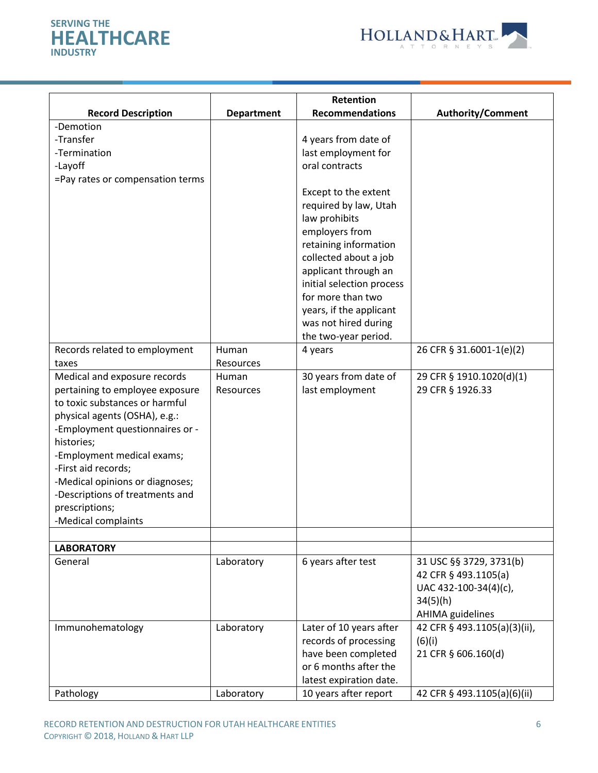



|                                  |                   | Retention                 |                              |
|----------------------------------|-------------------|---------------------------|------------------------------|
| <b>Record Description</b>        | <b>Department</b> | <b>Recommendations</b>    | <b>Authority/Comment</b>     |
| -Demotion                        |                   |                           |                              |
| -Transfer                        |                   | 4 years from date of      |                              |
| -Termination                     |                   | last employment for       |                              |
| -Layoff                          |                   | oral contracts            |                              |
| =Pay rates or compensation terms |                   |                           |                              |
|                                  |                   | Except to the extent      |                              |
|                                  |                   | required by law, Utah     |                              |
|                                  |                   | law prohibits             |                              |
|                                  |                   | employers from            |                              |
|                                  |                   | retaining information     |                              |
|                                  |                   | collected about a job     |                              |
|                                  |                   | applicant through an      |                              |
|                                  |                   | initial selection process |                              |
|                                  |                   | for more than two         |                              |
|                                  |                   | years, if the applicant   |                              |
|                                  |                   | was not hired during      |                              |
|                                  |                   | the two-year period.      |                              |
| Records related to employment    | Human             | 4 years                   | 26 CFR § 31.6001-1(e)(2)     |
| taxes                            | Resources         |                           |                              |
| Medical and exposure records     | Human             | 30 years from date of     | 29 CFR § 1910.1020(d)(1)     |
| pertaining to employee exposure  | Resources         | last employment           | 29 CFR § 1926.33             |
| to toxic substances or harmful   |                   |                           |                              |
| physical agents (OSHA), e.g.:    |                   |                           |                              |
| -Employment questionnaires or -  |                   |                           |                              |
| histories;                       |                   |                           |                              |
| -Employment medical exams;       |                   |                           |                              |
| -First aid records;              |                   |                           |                              |
| -Medical opinions or diagnoses;  |                   |                           |                              |
| -Descriptions of treatments and  |                   |                           |                              |
| prescriptions;                   |                   |                           |                              |
| -Medical complaints              |                   |                           |                              |
|                                  |                   |                           |                              |
| <b>LABORATORY</b>                |                   |                           |                              |
| General                          | Laboratory        | 6 years after test        | 31 USC §§ 3729, 3731(b)      |
|                                  |                   |                           | 42 CFR § 493.1105(a)         |
|                                  |                   |                           | UAC 432-100-34(4)(c),        |
|                                  |                   |                           | 34(5)(h)                     |
|                                  |                   |                           | AHIMA guidelines             |
| Immunohematology                 | Laboratory        | Later of 10 years after   | 42 CFR § 493.1105(a)(3)(ii), |
|                                  |                   | records of processing     | (6)(i)                       |
|                                  |                   | have been completed       | 21 CFR § 606.160(d)          |
|                                  |                   | or 6 months after the     |                              |
|                                  |                   | latest expiration date.   |                              |
| Pathology                        | Laboratory        | 10 years after report     | 42 CFR § 493.1105(a)(6)(ii)  |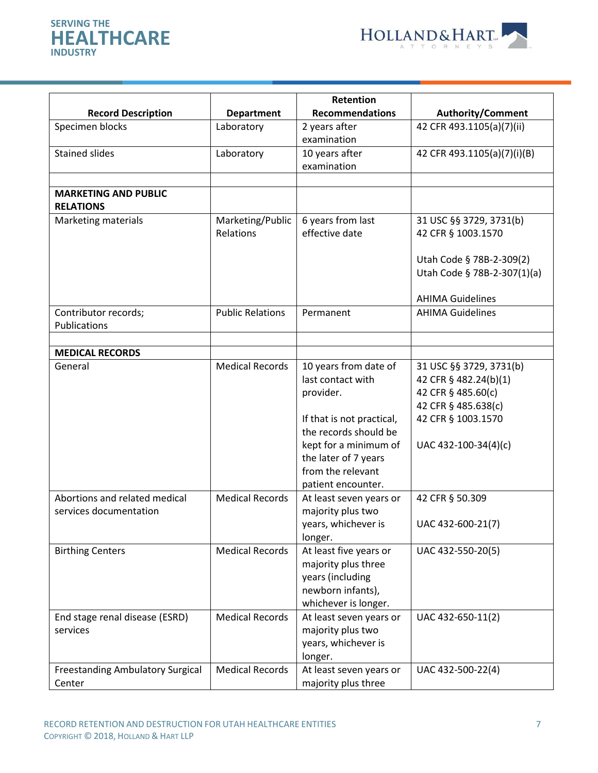



|                                                   |                               | Retention                                                                                                      |                                                                                               |
|---------------------------------------------------|-------------------------------|----------------------------------------------------------------------------------------------------------------|-----------------------------------------------------------------------------------------------|
| <b>Record Description</b>                         | <b>Department</b>             | <b>Recommendations</b>                                                                                         | <b>Authority/Comment</b>                                                                      |
| Specimen blocks                                   | Laboratory                    | 2 years after<br>examination                                                                                   | 42 CFR 493.1105(a)(7)(ii)                                                                     |
| <b>Stained slides</b>                             | Laboratory                    | 10 years after<br>examination                                                                                  | 42 CFR 493.1105(a)(7)(i)(B)                                                                   |
| <b>MARKETING AND PUBLIC</b><br><b>RELATIONS</b>   |                               |                                                                                                                |                                                                                               |
| Marketing materials                               | Marketing/Public<br>Relations | 6 years from last<br>effective date                                                                            | 31 USC §§ 3729, 3731(b)<br>42 CFR § 1003.1570                                                 |
|                                                   |                               |                                                                                                                | Utah Code § 78B-2-309(2)<br>Utah Code § 78B-2-307(1)(a)                                       |
|                                                   |                               |                                                                                                                | <b>AHIMA Guidelines</b>                                                                       |
| Contributor records;<br>Publications              | <b>Public Relations</b>       | Permanent                                                                                                      | <b>AHIMA Guidelines</b>                                                                       |
|                                                   |                               |                                                                                                                |                                                                                               |
| <b>MEDICAL RECORDS</b>                            |                               |                                                                                                                |                                                                                               |
| General                                           | <b>Medical Records</b>        | 10 years from date of<br>last contact with<br>provider.                                                        | 31 USC §§ 3729, 3731(b)<br>42 CFR § 482.24(b)(1)<br>42 CFR § 485.60(c)<br>42 CFR § 485.638(c) |
|                                                   |                               | If that is not practical,<br>the records should be<br>kept for a minimum of                                    | 42 CFR § 1003.1570<br>UAC 432-100-34(4)(c)                                                    |
|                                                   |                               | the later of 7 years<br>from the relevant<br>patient encounter.                                                |                                                                                               |
| Abortions and related medical                     | <b>Medical Records</b>        | At least seven years or                                                                                        | 42 CFR § 50.309                                                                               |
| services documentation                            |                               | majority plus two<br>years, whichever is<br>longer.                                                            | UAC 432-600-21(7)                                                                             |
| <b>Birthing Centers</b>                           | <b>Medical Records</b>        | At least five years or<br>majority plus three<br>years (including<br>newborn infants),<br>whichever is longer. | UAC 432-550-20(5)                                                                             |
| End stage renal disease (ESRD)<br>services        | <b>Medical Records</b>        | At least seven years or<br>majority plus two<br>years, whichever is<br>longer.                                 | UAC 432-650-11(2)                                                                             |
| <b>Freestanding Ambulatory Surgical</b><br>Center | <b>Medical Records</b>        | At least seven years or<br>majority plus three                                                                 | UAC 432-500-22(4)                                                                             |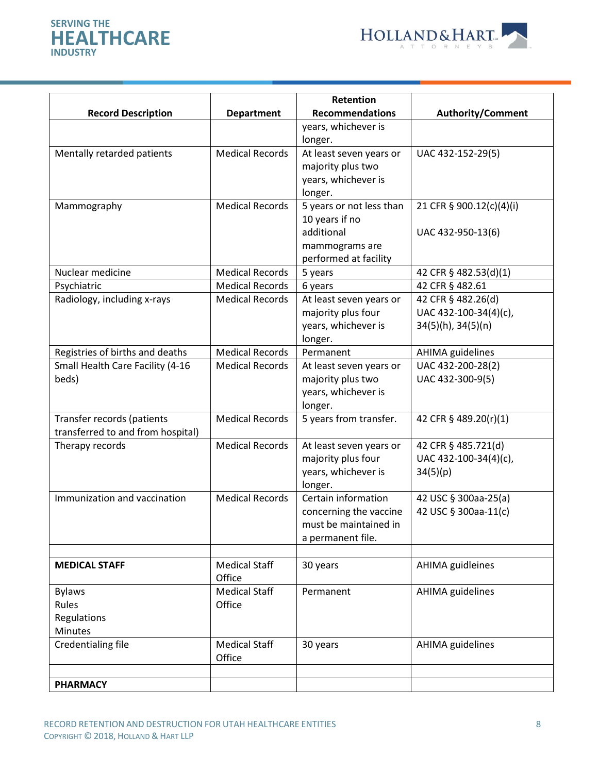



| <b>Record Description</b>                                       | <b>Department</b>              | Retention<br><b>Recommendations</b>                                                                 | <b>Authority/Comment</b>                                               |
|-----------------------------------------------------------------|--------------------------------|-----------------------------------------------------------------------------------------------------|------------------------------------------------------------------------|
|                                                                 |                                | years, whichever is<br>longer.                                                                      |                                                                        |
| Mentally retarded patients                                      | <b>Medical Records</b>         | At least seven years or<br>majority plus two<br>years, whichever is<br>longer.                      | UAC 432-152-29(5)                                                      |
| Mammography                                                     | <b>Medical Records</b>         | 5 years or not less than<br>10 years if no<br>additional<br>mammograms are<br>performed at facility | 21 CFR § 900.12(c)(4)(i)<br>UAC 432-950-13(6)                          |
| Nuclear medicine                                                | <b>Medical Records</b>         | 5 years                                                                                             | 42 CFR § 482.53(d)(1)                                                  |
| Psychiatric                                                     | <b>Medical Records</b>         | 6 years                                                                                             | 42 CFR § 482.61                                                        |
| Radiology, including x-rays                                     | <b>Medical Records</b>         | At least seven years or<br>majority plus four<br>years, whichever is<br>longer.                     | 42 CFR § 482.26(d)<br>UAC 432-100-34(4)(c),<br>$34(5)(h)$ , $34(5)(n)$ |
| Registries of births and deaths                                 | <b>Medical Records</b>         | Permanent                                                                                           | <b>AHIMA</b> guidelines                                                |
| Small Health Care Facility (4-16<br>beds)                       | <b>Medical Records</b>         | At least seven years or<br>majority plus two<br>years, whichever is<br>longer.                      | UAC 432-200-28(2)<br>UAC 432-300-9(5)                                  |
| Transfer records (patients<br>transferred to and from hospital) | <b>Medical Records</b>         | 5 years from transfer.                                                                              | 42 CFR § 489.20(r)(1)                                                  |
| Therapy records                                                 | <b>Medical Records</b>         | At least seven years or<br>majority plus four<br>years, whichever is<br>longer.                     | 42 CFR § 485.721(d)<br>UAC 432-100-34(4)(c),<br>34(5)(p)               |
| Immunization and vaccination                                    | <b>Medical Records</b>         | Certain information<br>concerning the vaccine<br>must be maintained in<br>a permanent file.         | 42 USC § 300aa-25(a)<br>42 USC § 300aa-11(c)                           |
|                                                                 |                                |                                                                                                     |                                                                        |
| <b>MEDICAL STAFF</b>                                            | <b>Medical Staff</b><br>Office | 30 years                                                                                            | AHIMA guidleines                                                       |
| <b>Bylaws</b><br>Rules<br>Regulations<br><b>Minutes</b>         | <b>Medical Staff</b><br>Office | Permanent                                                                                           | <b>AHIMA</b> guidelines                                                |
| Credentialing file                                              | <b>Medical Staff</b><br>Office | 30 years                                                                                            | AHIMA guidelines                                                       |
| <b>PHARMACY</b>                                                 |                                |                                                                                                     |                                                                        |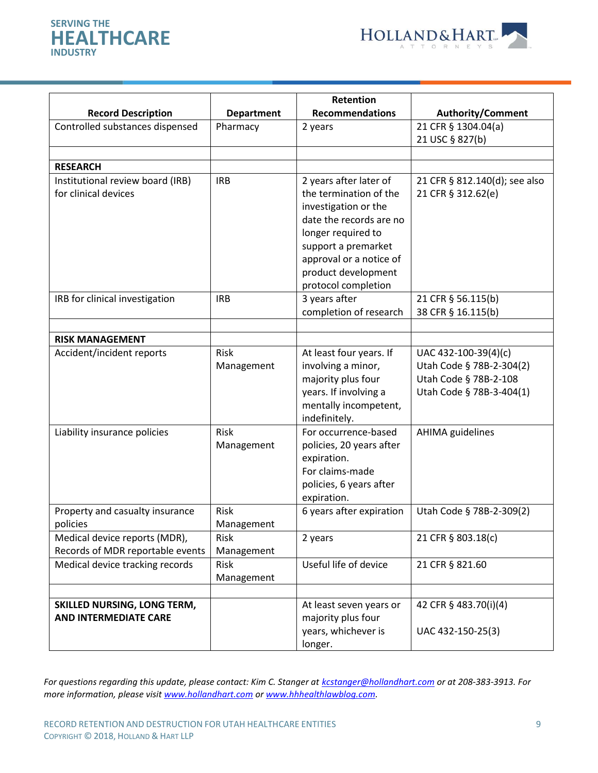



|                                    |                   | Retention                              |                               |
|------------------------------------|-------------------|----------------------------------------|-------------------------------|
| <b>Record Description</b>          | <b>Department</b> | <b>Recommendations</b>                 | <b>Authority/Comment</b>      |
| Controlled substances dispensed    | Pharmacy          | 2 years                                | 21 CFR § 1304.04(a)           |
|                                    |                   |                                        | 21 USC § 827(b)               |
|                                    |                   |                                        |                               |
| <b>RESEARCH</b>                    |                   |                                        |                               |
| Institutional review board (IRB)   | <b>IRB</b>        | 2 years after later of                 | 21 CFR § 812.140(d); see also |
| for clinical devices               |                   | the termination of the                 | 21 CFR § 312.62(e)            |
|                                    |                   | investigation or the                   |                               |
|                                    |                   | date the records are no                |                               |
|                                    |                   | longer required to                     |                               |
|                                    |                   | support a premarket                    |                               |
|                                    |                   | approval or a notice of                |                               |
|                                    |                   | product development                    |                               |
|                                    |                   | protocol completion                    |                               |
| IRB for clinical investigation     | <b>IRB</b>        | 3 years after                          | 21 CFR § 56.115(b)            |
|                                    |                   | completion of research                 | 38 CFR § 16.115(b)            |
|                                    |                   |                                        |                               |
| <b>RISK MANAGEMENT</b>             |                   |                                        |                               |
| Accident/incident reports          | <b>Risk</b>       | At least four years. If                | UAC 432-100-39(4)(c)          |
|                                    | Management        | involving a minor,                     | Utah Code § 78B-2-304(2)      |
|                                    |                   | majority plus four                     | Utah Code § 78B-2-108         |
|                                    |                   | years. If involving a                  | Utah Code § 78B-3-404(1)      |
|                                    |                   | mentally incompetent,<br>indefinitely. |                               |
| Liability insurance policies       | Risk              | For occurrence-based                   | <b>AHIMA</b> guidelines       |
|                                    |                   | policies, 20 years after               |                               |
|                                    | Management        | expiration.                            |                               |
|                                    |                   | For claims-made                        |                               |
|                                    |                   | policies, 6 years after                |                               |
|                                    |                   | expiration.                            |                               |
| Property and casualty insurance    | <b>Risk</b>       | 6 years after expiration               | Utah Code § 78B-2-309(2)      |
| policies                           | Management        |                                        |                               |
| Medical device reports (MDR),      | Risk              | 2 years                                | 21 CFR § 803.18(c)            |
| Records of MDR reportable events   | Management        |                                        |                               |
| Medical device tracking records    | Risk              | Useful life of device                  | 21 CFR § 821.60               |
|                                    | Management        |                                        |                               |
|                                    |                   |                                        |                               |
| <b>SKILLED NURSING, LONG TERM,</b> |                   | At least seven years or                | 42 CFR § 483.70(i)(4)         |
| <b>AND INTERMEDIATE CARE</b>       |                   | majority plus four                     |                               |
|                                    |                   | years, whichever is                    | UAC 432-150-25(3)             |
|                                    |                   | longer.                                |                               |

*For questions regarding this update, please contact: Kim C. Stanger at [kcstanger@hollandhart.com](mailto:kcstanger@hollandhart.com) or at 208-383-3913. For more information, please visit [www.hollandhart.com](http://www.hollandhart.com/) o[r www.hhhealthlawblog.com.](http://www.hhhealthlawblog.com/)*